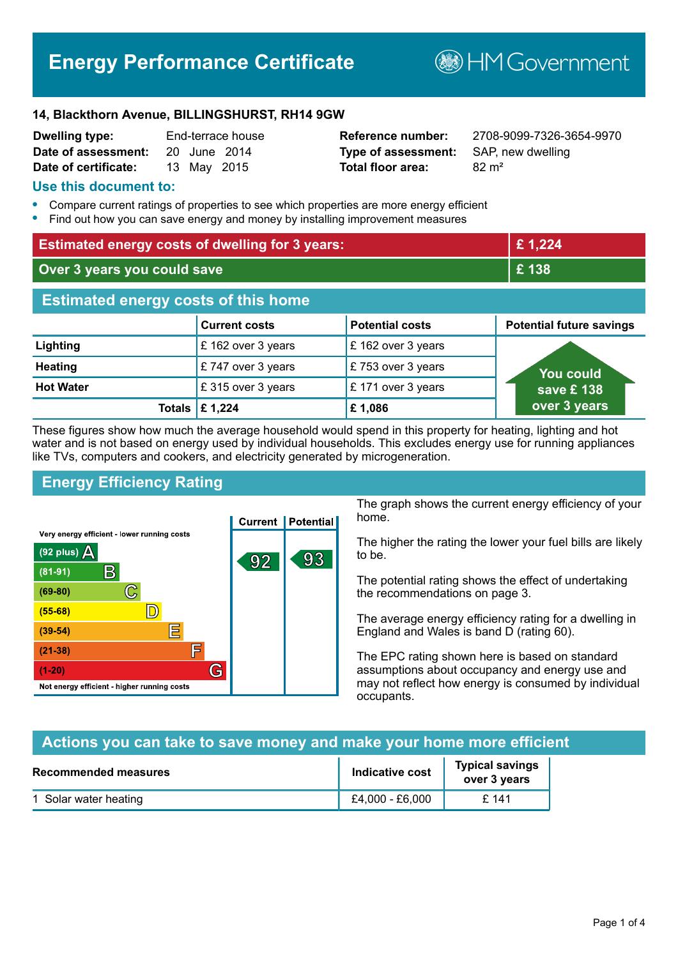# **Energy Performance Certificate**

**B**HM Government

#### **14, Blackthorn Avenue, BILLINGSHURST, RH14 9GW**

| <b>Dwelling type:</b> |  | End-terrace house |  |
|-----------------------|--|-------------------|--|
| Date of assessment:   |  | 20 June 2014      |  |
| Date of certificate:  |  | 13 May 2015       |  |

# **Type of assessment:** SAP, new dwelling **Total floor area:** 82 m<sup>2</sup>

**Reference number:** 2708-9099-7326-3654-9970

#### **Use this document to:**

- **•** Compare current ratings of properties to see which properties are more energy efficient
- **•** Find out how you can save energy and money by installing improvement measures

| <b>Estimated energy costs of dwelling for 3 years:</b> |                                 | £1,224                 |                                 |
|--------------------------------------------------------|---------------------------------|------------------------|---------------------------------|
| Over 3 years you could save                            |                                 | £138                   |                                 |
| <b>Estimated energy costs of this home</b>             |                                 |                        |                                 |
|                                                        | <b>Current costs</b>            | <b>Potential costs</b> | <b>Potential future savings</b> |
| Lighting                                               | £162 over 3 years               | £162 over 3 years      |                                 |
| <b>Heating</b>                                         | £747 over 3 years               | £753 over 3 years      | You could                       |
| <b>Hot Water</b>                                       | £315 over 3 years               | £171 over 3 years      | save £138                       |
|                                                        | Totals $\mathbf \epsilon$ 1,224 | £1,086                 | over 3 years                    |

These figures show how much the average household would spend in this property for heating, lighting and hot water and is not based on energy used by individual households. This excludes energy use for running appliances like TVs, computers and cookers, and electricity generated by microgeneration.

# **Energy Efficiency Rating**



The graph shows the current energy efficiency of your home.

The higher the rating the lower your fuel bills are likely to be.

The potential rating shows the effect of undertaking the recommendations on page 3.

The average energy efficiency rating for a dwelling in England and Wales is band D (rating 60).

The EPC rating shown here is based on standard assumptions about occupancy and energy use and may not reflect how energy is consumed by individual occupants.

# **Actions you can take to save money and make your home more efficient**

| Recommended measures  | Indicative cost | <b>Typical savings</b><br>over 3 years |
|-----------------------|-----------------|----------------------------------------|
| 1 Solar water heating | £4,000 - £6,000 | £ 141                                  |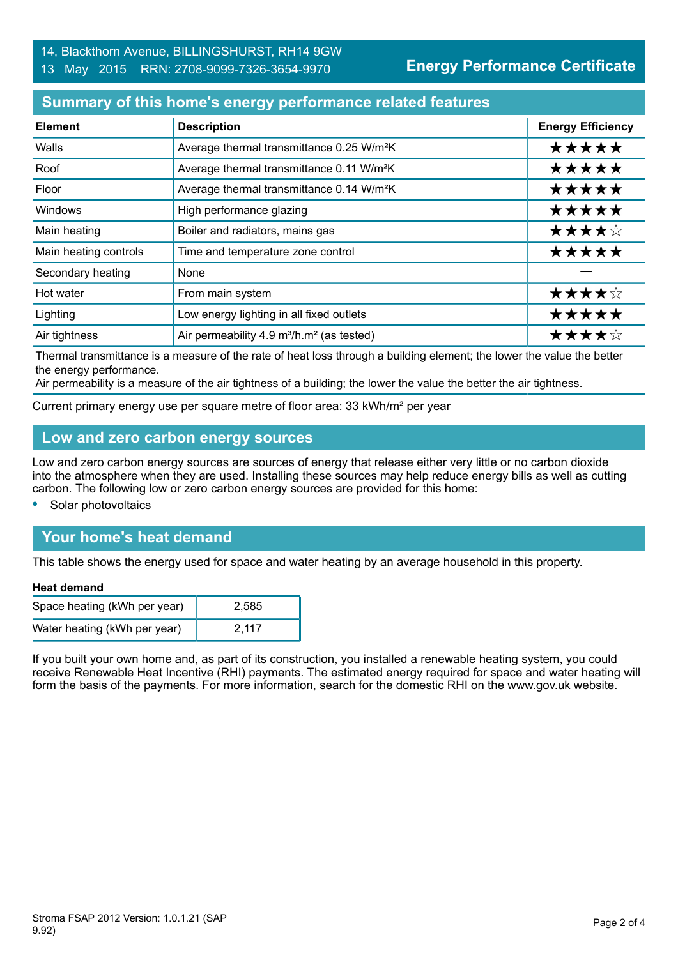# **Summary of this home's energy performance related features**

| <b>Element</b>        | <b>Description</b>                                                | <b>Energy Efficiency</b> |
|-----------------------|-------------------------------------------------------------------|--------------------------|
| Walls                 | Average thermal transmittance 0.25 W/m <sup>2</sup> K             | *****                    |
| Roof                  | Average thermal transmittance 0.11 W/m <sup>2</sup> K             | *****                    |
| Floor                 | Average thermal transmittance 0.14 W/m <sup>2</sup> K             | *****                    |
| <b>Windows</b>        | High performance glazing                                          | *****                    |
| Main heating          | Boiler and radiators, mains gas                                   | ★★★★☆                    |
| Main heating controls | Time and temperature zone control                                 | *****                    |
| Secondary heating     | None                                                              |                          |
| Hot water             | From main system                                                  | ★★★★☆                    |
| Lighting              | Low energy lighting in all fixed outlets                          | *****                    |
| Air tightness         | Air permeability 4.9 m <sup>3</sup> /h.m <sup>2</sup> (as tested) | ★★★★☆                    |

Thermal transmittance is a measure of the rate of heat loss through a building element; the lower the value the better the energy performance.

Air permeability is a measure of the air tightness of a building; the lower the value the better the air tightness.

Current primary energy use per square metre of floor area: 33 kWh/m² per year

### **Low and zero carbon energy sources**

Low and zero carbon energy sources are sources of energy that release either very little or no carbon dioxide into the atmosphere when they are used. Installing these sources may help reduce energy bills as well as cutting carbon. The following low or zero carbon energy sources are provided for this home:

**•** Solar photovoltaics

# **Your home's heat demand**

This table shows the energy used for space and water heating by an average household in this property.

#### **Heat demand**

| Space heating (kWh per year) | 2.585 |
|------------------------------|-------|
| Water heating (kWh per year) | 2.117 |

If you built your own home and, as part of its construction, you installed a renewable heating system, you could receive Renewable Heat Incentive (RHI) payments. The estimated energy required for space and water heating will form the basis of the payments. For more information, search for the domestic RHI on the www.gov.uk website.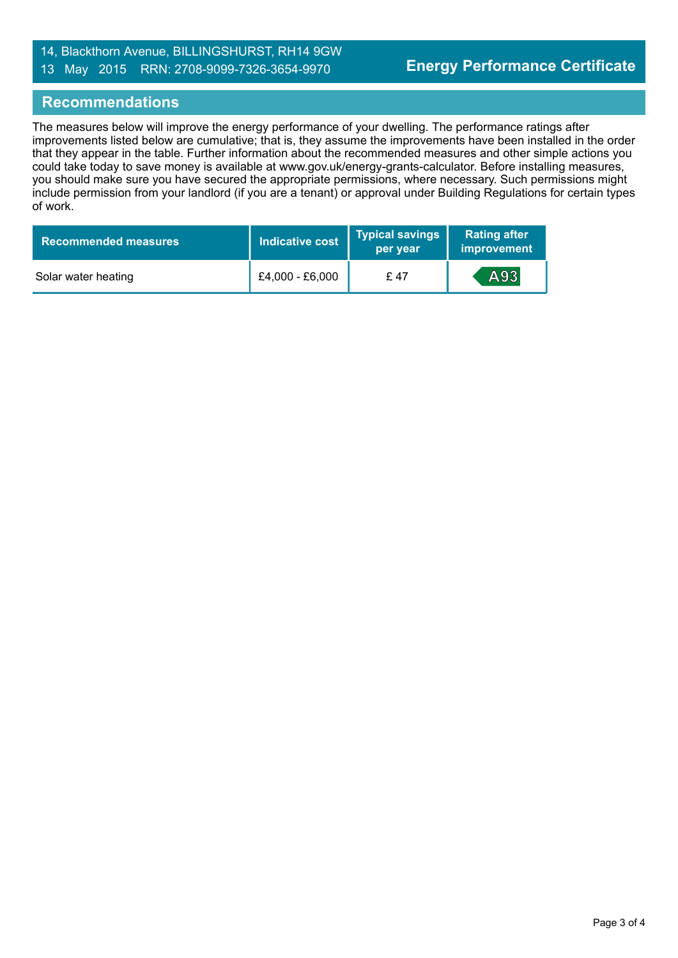### 14, Blackthorn Avenue, BILLINGSHURST, RH14 9GW 13 May 2015 RRN: 2708-9099-7326-3654-9970

#### **Recommendations**

The measures below will improve the energy performance of your dwelling. The performance ratings after improvements listed below are cumulative; that is, they assume the improvements have been installed in the order that they appear in the table. Further information about the recommended measures and other simple actions you could take today to save money is available at www.gov.uk/energy-grants-calculator. Before installing measures, you should make sure you have secured the appropriate permissions, where necessary. Such permissions might include permission from your landlord (if you are a tenant) or approval under Building Regulations for certain types of work.

| <b>Recommended measures</b> | Indicative cost | <b>Typical savings</b><br>per year | <b>Rating after</b><br>improvement |
|-----------------------------|-----------------|------------------------------------|------------------------------------|
| Solar water heating         | £4,000 - £6,000 | £ 47                               | A93                                |